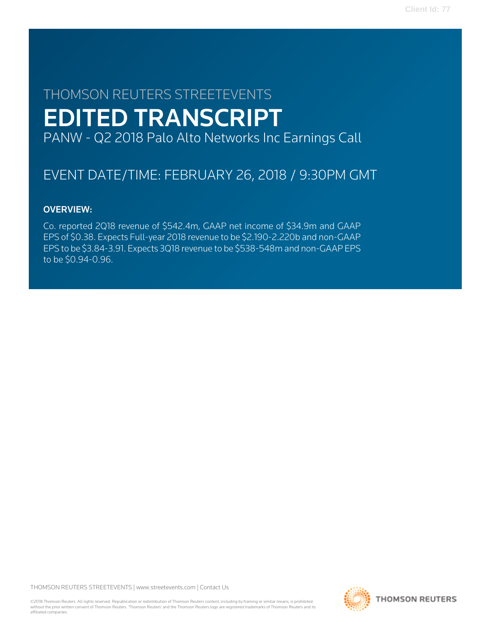# THOMSON REUTERS STREETEVENTS EDITED TRANSCRIPT PANW - Q2 2018 Palo Alto Networks Inc Earnings Call

# EVENT DATE/TIME: FEBRUARY 26, 2018 / 9:30PM GMT

# OVERVIEW:

Co. reported 2Q18 revenue of \$542.4m, GAAP net income of \$34.9m and GAAP EPS of \$0.38. Expects Full-year 2018 revenue to be \$2.190-2.220b and non-GAAP EPS to be \$3.84-3.91. Expects 3Q18 revenue to be \$538-548m and non-GAAP EPS to be \$0.94-0.96.

THOMSON REUTERS STREETEVENTS | [www.streetevents.com](http://www.streetevents.com) | [Contact Us](http://www010.streetevents.com/contact.asp)

©2018 Thomson Reuters. All rights reserved. Republication or redistribution of Thomson Reuters content, including by framing or similar means, is prohibited without the prior written consent of Thomson Reuters. 'Thomson Reuters' and the Thomson Reuters logo are registered trademarks of Thomson Reuters and its affiliated companies.

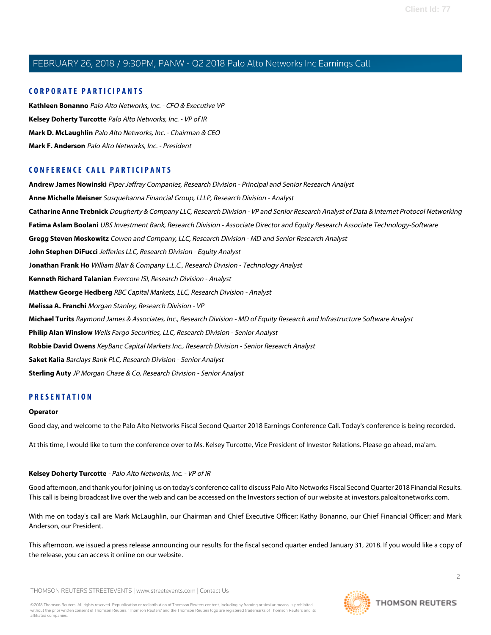### **CORPORATE PARTICIPANTS**

**[Kathleen Bonanno](#page-4-0)** Palo Alto Networks, Inc. - CFO & Executive VP **[Kelsey Doherty Turcotte](#page-1-0)** Palo Alto Networks, Inc. - VP of IR **[Mark D. McLaughlin](#page-2-0)** Palo Alto Networks, Inc. - Chairman & CEO **[Mark F. Anderson](#page-7-0)** Palo Alto Networks, Inc. - President

### **CONFERENCE CALL PARTICIPANTS**

**[Andrew James Nowinski](#page-5-0)** Piper Jaffray Companies, Research Division - Principal and Senior Research Analyst **[Anne Michelle Meisner](#page-14-0)** Susquehanna Financial Group, LLLP, Research Division - Analyst **[Catharine Anne Trebnick](#page-10-0)** Dougherty & Company LLC, Research Division - VP and Senior Research Analyst of Data & Internet Protocol Networking **[Fatima Aslam Boolani](#page-13-0)** UBS Investment Bank, Research Division - Associate Director and Equity Research Associate Technology-Software **[Gregg Steven Moskowitz](#page-7-1)** Cowen and Company, LLC, Research Division - MD and Senior Research Analyst **[John Stephen DiFucci](#page-11-0)** Jefferies LLC, Research Division - Equity Analyst **[Jonathan Frank Ho](#page-14-1)** William Blair & Company L.L.C., Research Division - Technology Analyst **[Kenneth Richard Talanian](#page-10-1)** Evercore ISI, Research Division - Analyst **[Matthew George Hedberg](#page-7-2)** RBC Capital Markets, LLC, Research Division - Analyst **[Melissa A. Franchi](#page-16-0)** Morgan Stanley, Research Division - VP **[Michael Turits](#page-6-0)** Raymond James & Associates, Inc., Research Division - MD of Equity Research and Infrastructure Software Analyst **[Philip Alan Winslow](#page-16-1)** Wells Fargo Securities, LLC, Research Division - Senior Analyst **[Robbie David Owens](#page-12-0)** KeyBanc Capital Markets Inc., Research Division - Senior Research Analyst **[Saket Kalia](#page-15-0)** Barclays Bank PLC, Research Division - Senior Analyst **[Sterling Auty](#page-8-0)** JP Morgan Chase & Co, Research Division - Senior Analyst

### **PRESENTATION**

#### **Operator**

<span id="page-1-0"></span>Good day, and welcome to the Palo Alto Networks Fiscal Second Quarter 2018 Earnings Conference Call. Today's conference is being recorded.

At this time, I would like to turn the conference over to Ms. Kelsey Turcotte, Vice President of Investor Relations. Please go ahead, ma'am.

### **Kelsey Doherty Turcotte** - Palo Alto Networks, Inc. - VP of IR

Good afternoon, and thank you for joining us on today's conference call to discuss Palo Alto Networks Fiscal Second Quarter 2018 Financial Results. This call is being broadcast live over the web and can be accessed on the Investors section of our website at investors.paloaltonetworks.com.

With me on today's call are Mark McLaughlin, our Chairman and Chief Executive Officer; Kathy Bonanno, our Chief Financial Officer; and Mark Anderson, our President.

This afternoon, we issued a press release announcing our results for the fiscal second quarter ended January 31, 2018. If you would like a copy of the release, you can access it online on our website.

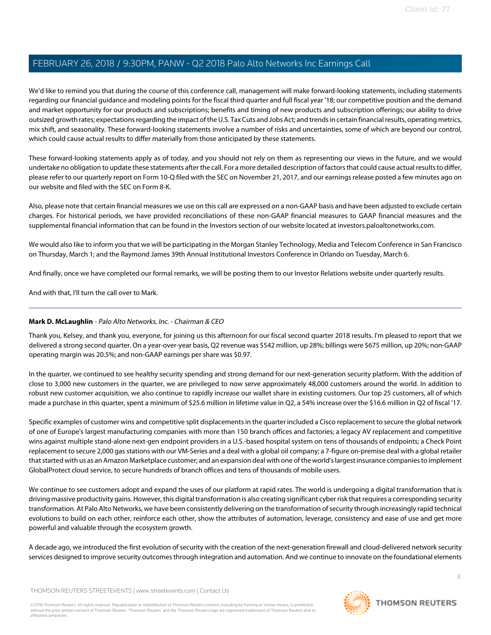We'd like to remind you that during the course of this conference call, management will make forward-looking statements, including statements regarding our financial guidance and modeling points for the fiscal third quarter and full fiscal year '18; our competitive position and the demand and market opportunity for our products and subscriptions; benefits and timing of new products and subscription offerings; our ability to drive outsized growth rates; expectations regarding the impact of the U.S. Tax Cuts and Jobs Act; and trends in certain financial results, operating metrics, mix shift, and seasonality. These forward-looking statements involve a number of risks and uncertainties, some of which are beyond our control, which could cause actual results to differ materially from those anticipated by these statements.

These forward-looking statements apply as of today, and you should not rely on them as representing our views in the future, and we would undertake no obligation to update these statements after the call. For a more detailed description of factors that could cause actual results to differ, please refer to our quarterly report on Form 10-Q filed with the SEC on November 21, 2017, and our earnings release posted a few minutes ago on our website and filed with the SEC on Form 8-K.

Also, please note that certain financial measures we use on this call are expressed on a non-GAAP basis and have been adjusted to exclude certain charges. For historical periods, we have provided reconciliations of these non-GAAP financial measures to GAAP financial measures and the supplemental financial information that can be found in the Investors section of our website located at investors.paloaltonetworks.com.

We would also like to inform you that we will be participating in the Morgan Stanley Technology, Media and Telecom Conference in San Francisco on Thursday, March 1; and the Raymond James 39th Annual Institutional Investors Conference in Orlando on Tuesday, March 6.

And finally, once we have completed our formal remarks, we will be posting them to our Investor Relations website under quarterly results.

<span id="page-2-0"></span>And with that, I'll turn the call over to Mark.

### **Mark D. McLaughlin** - Palo Alto Networks, Inc. - Chairman & CEO

Thank you, Kelsey, and thank you, everyone, for joining us this afternoon for our fiscal second quarter 2018 results. I'm pleased to report that we delivered a strong second quarter. On a year-over-year basis, Q2 revenue was \$542 million, up 28%; billings were \$675 million, up 20%; non-GAAP operating margin was 20.5%; and non-GAAP earnings per share was \$0.97.

In the quarter, we continued to see healthy security spending and strong demand for our next-generation security platform. With the addition of close to 3,000 new customers in the quarter, we are privileged to now serve approximately 48,000 customers around the world. In addition to robust new customer acquisition, we also continue to rapidly increase our wallet share in existing customers. Our top 25 customers, all of which made a purchase in this quarter, spent a minimum of \$25.6 million in lifetime value in Q2, a 54% increase over the \$16.6 million in Q2 of fiscal '17.

Specific examples of customer wins and competitive split displacements in the quarter included a Cisco replacement to secure the global network of one of Europe's largest manufacturing companies with more than 150 branch offices and factories; a legacy AV replacement and competitive wins against multiple stand-alone next-gen endpoint providers in a U.S.-based hospital system on tens of thousands of endpoints; a Check Point replacement to secure 2,000 gas stations with our VM-Series and a deal with a global oil company; a 7-figure on-premise deal with a global retailer that started with us as an Amazon Marketplace customer; and an expansion deal with one of the world's largest insurance companies to implement GlobalProtect cloud service, to secure hundreds of branch offices and tens of thousands of mobile users.

We continue to see customers adopt and expand the uses of our platform at rapid rates. The world is undergoing a digital transformation that is driving massive productivity gains. However, this digital transformation is also creating significant cyber risk that requires a corresponding security transformation. At Palo Alto Networks, we have been consistently delivering on the transformation of security through increasingly rapid technical evolutions to build on each other, reinforce each other, show the attributes of automation, leverage, consistency and ease of use and get more powerful and valuable through the ecosystem growth.

A decade ago, we introduced the first evolution of security with the creation of the next-generation firewall and cloud-delivered network security services designed to improve security outcomes through integration and automation. And we continue to innovate on the foundational elements

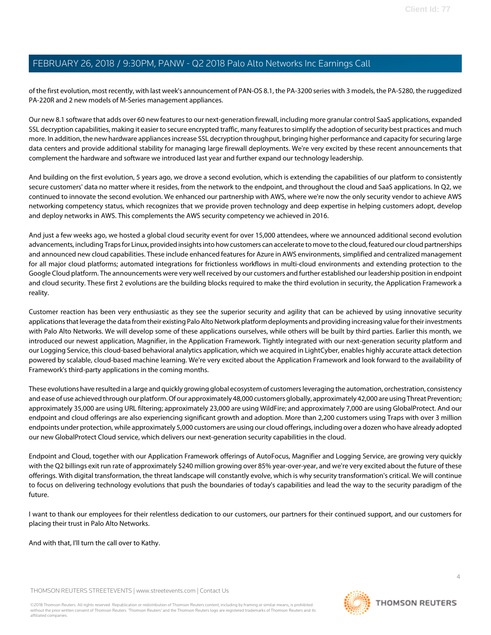of the first evolution, most recently, with last week's announcement of PAN-OS 8.1, the PA-3200 series with 3 models, the PA-5280, the ruggedized PA-220R and 2 new models of M-Series management appliances.

Our new 8.1 software that adds over 60 new features to our next-generation firewall, including more granular control SaaS applications, expanded SSL decryption capabilities, making it easier to secure encrypted traffic, many features to simplify the adoption of security best practices and much more. In addition, the new hardware appliances increase SSL decryption throughput, bringing higher performance and capacity for securing large data centers and provide additional stability for managing large firewall deployments. We're very excited by these recent announcements that complement the hardware and software we introduced last year and further expand our technology leadership.

And building on the first evolution, 5 years ago, we drove a second evolution, which is extending the capabilities of our platform to consistently secure customers' data no matter where it resides, from the network to the endpoint, and throughout the cloud and SaaS applications. In Q2, we continued to innovate the second evolution. We enhanced our partnership with AWS, where we're now the only security vendor to achieve AWS networking competency status, which recognizes that we provide proven technology and deep expertise in helping customers adopt, develop and deploy networks in AWS. This complements the AWS security competency we achieved in 2016.

And just a few weeks ago, we hosted a global cloud security event for over 15,000 attendees, where we announced additional second evolution advancements, including Traps for Linux, provided insights into how customers can accelerate to move to the cloud, featured our cloud partnerships and announced new cloud capabilities. These include enhanced features for Azure in AWS environments, simplified and centralized management for all major cloud platforms; automated integrations for frictionless workflows in multi-cloud environments and extending protection to the Google Cloud platform. The announcements were very well received by our customers and further established our leadership position in endpoint and cloud security. These first 2 evolutions are the building blocks required to make the third evolution in security, the Application Framework a reality.

Customer reaction has been very enthusiastic as they see the superior security and agility that can be achieved by using innovative security applications that leverage the data from their existing Palo Alto Network platform deployments and providing increasing value for their investments with Palo Alto Networks. We will develop some of these applications ourselves, while others will be built by third parties. Earlier this month, we introduced our newest application, Magnifier, in the Application Framework. Tightly integrated with our next-generation security platform and our Logging Service, this cloud-based behavioral analytics application, which we acquired in LightCyber, enables highly accurate attack detection powered by scalable, cloud-based machine learning. We're very excited about the Application Framework and look forward to the availability of Framework's third-party applications in the coming months.

These evolutions have resulted in a large and quickly growing global ecosystem of customers leveraging the automation, orchestration, consistency and ease of use achieved through our platform. Of our approximately 48,000 customers globally, approximately 42,000 are using Threat Prevention; approximately 35,000 are using URL filtering; approximately 23,000 are using WildFire; and approximately 7,000 are using GlobalProtect. And our endpoint and cloud offerings are also experiencing significant growth and adoption. More than 2,200 customers using Traps with over 3 million endpoints under protection, while approximately 5,000 customers are using our cloud offerings, including over a dozen who have already adopted our new GlobalProtect Cloud service, which delivers our next-generation security capabilities in the cloud.

Endpoint and Cloud, together with our Application Framework offerings of AutoFocus, Magnifier and Logging Service, are growing very quickly with the Q2 billings exit run rate of approximately \$240 million growing over 85% year-over-year, and we're very excited about the future of these offerings. With digital transformation, the threat landscape will constantly evolve, which is why security transformation's critical. We will continue to focus on delivering technology evolutions that push the boundaries of today's capabilities and lead the way to the security paradigm of the future.

I want to thank our employees for their relentless dedication to our customers, our partners for their continued support, and our customers for placing their trust in Palo Alto Networks.

And with that, I'll turn the call over to Kathy.

THOMSON REUTERS STREETEVENTS | [www.streetevents.com](http://www.streetevents.com) | [Contact Us](http://www010.streetevents.com/contact.asp)

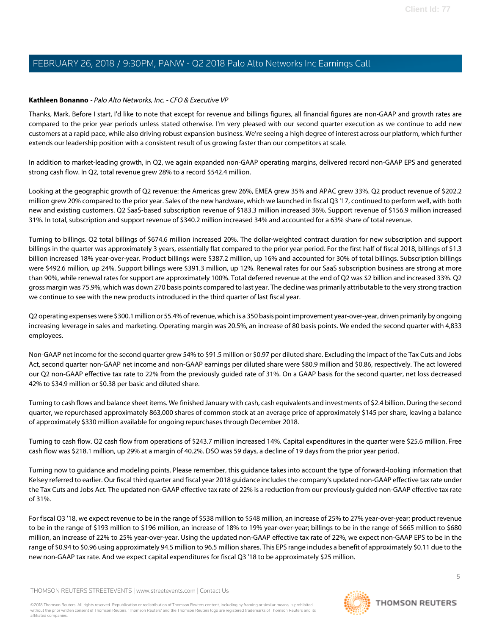### <span id="page-4-0"></span>**Kathleen Bonanno** - Palo Alto Networks, Inc. - CFO & Executive VP

Thanks, Mark. Before I start, I'd like to note that except for revenue and billings figures, all financial figures are non-GAAP and growth rates are compared to the prior year periods unless stated otherwise. I'm very pleased with our second quarter execution as we continue to add new customers at a rapid pace, while also driving robust expansion business. We're seeing a high degree of interest across our platform, which further extends our leadership position with a consistent result of us growing faster than our competitors at scale.

In addition to market-leading growth, in Q2, we again expanded non-GAAP operating margins, delivered record non-GAAP EPS and generated strong cash flow. In Q2, total revenue grew 28% to a record \$542.4 million.

Looking at the geographic growth of Q2 revenue: the Americas grew 26%, EMEA grew 35% and APAC grew 33%. Q2 product revenue of \$202.2 million grew 20% compared to the prior year. Sales of the new hardware, which we launched in fiscal Q3 '17, continued to perform well, with both new and existing customers. Q2 SaaS-based subscription revenue of \$183.3 million increased 36%. Support revenue of \$156.9 million increased 31%. In total, subscription and support revenue of \$340.2 million increased 34% and accounted for a 63% share of total revenue.

Turning to billings. Q2 total billings of \$674.6 million increased 20%. The dollar-weighted contract duration for new subscription and support billings in the quarter was approximately 3 years, essentially flat compared to the prior year period. For the first half of fiscal 2018, billings of \$1.3 billion increased 18% year-over-year. Product billings were \$387.2 million, up 16% and accounted for 30% of total billings. Subscription billings were \$492.6 million, up 24%. Support billings were \$391.3 million, up 12%. Renewal rates for our SaaS subscription business are strong at more than 90%, while renewal rates for support are approximately 100%. Total deferred revenue at the end of Q2 was \$2 billion and increased 33%. Q2 gross margin was 75.9%, which was down 270 basis points compared to last year. The decline was primarily attributable to the very strong traction we continue to see with the new products introduced in the third quarter of last fiscal year.

Q2 operating expenses were \$300.1 million or 55.4% of revenue, which is a 350 basis point improvement year-over-year, driven primarily by ongoing increasing leverage in sales and marketing. Operating margin was 20.5%, an increase of 80 basis points. We ended the second quarter with 4,833 employees.

Non-GAAP net income for the second quarter grew 54% to \$91.5 million or \$0.97 per diluted share. Excluding the impact of the Tax Cuts and Jobs Act, second quarter non-GAAP net income and non-GAAP earnings per diluted share were \$80.9 million and \$0.86, respectively. The act lowered our Q2 non-GAAP effective tax rate to 22% from the previously guided rate of 31%. On a GAAP basis for the second quarter, net loss decreased 42% to \$34.9 million or \$0.38 per basic and diluted share.

Turning to cash flows and balance sheet items. We finished January with cash, cash equivalents and investments of \$2.4 billion. During the second quarter, we repurchased approximately 863,000 shares of common stock at an average price of approximately \$145 per share, leaving a balance of approximately \$330 million available for ongoing repurchases through December 2018.

Turning to cash flow. Q2 cash flow from operations of \$243.7 million increased 14%. Capital expenditures in the quarter were \$25.6 million. Free cash flow was \$218.1 million, up 29% at a margin of 40.2%. DSO was 59 days, a decline of 19 days from the prior year period.

Turning now to guidance and modeling points. Please remember, this guidance takes into account the type of forward-looking information that Kelsey referred to earlier. Our fiscal third quarter and fiscal year 2018 guidance includes the company's updated non-GAAP effective tax rate under the Tax Cuts and Jobs Act. The updated non-GAAP effective tax rate of 22% is a reduction from our previously guided non-GAAP effective tax rate of 31%.

For fiscal Q3 '18, we expect revenue to be in the range of \$538 million to \$548 million, an increase of 25% to 27% year-over-year; product revenue to be in the range of \$193 million to \$196 million, an increase of 18% to 19% year-over-year; billings to be in the range of \$665 million to \$680 million, an increase of 22% to 25% year-over-year. Using the updated non-GAAP effective tax rate of 22%, we expect non-GAAP EPS to be in the range of \$0.94 to \$0.96 using approximately 94.5 million to 96.5 million shares. This EPS range includes a benefit of approximately \$0.11 due to the new non-GAAP tax rate. And we expect capital expenditures for fiscal Q3 '18 to be approximately \$25 million.

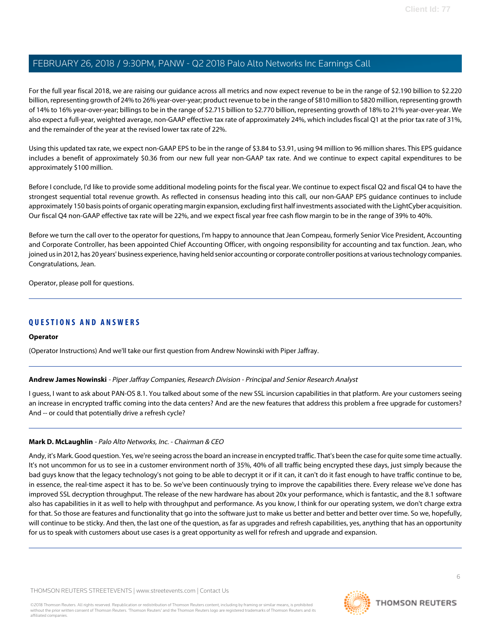For the full year fiscal 2018, we are raising our guidance across all metrics and now expect revenue to be in the range of \$2.190 billion to \$2.220 billion, representing growth of 24% to 26% year-over-year; product revenue to be in the range of \$810 million to \$820 million, representing growth of 14% to 16% year-over-year; billings to be in the range of \$2.715 billion to \$2.770 billion, representing growth of 18% to 21% year-over-year. We also expect a full-year, weighted average, non-GAAP effective tax rate of approximately 24%, which includes fiscal Q1 at the prior tax rate of 31%, and the remainder of the year at the revised lower tax rate of 22%.

Using this updated tax rate, we expect non-GAAP EPS to be in the range of \$3.84 to \$3.91, using 94 million to 96 million shares. This EPS guidance includes a benefit of approximately \$0.36 from our new full year non-GAAP tax rate. And we continue to expect capital expenditures to be approximately \$100 million.

Before I conclude, I'd like to provide some additional modeling points for the fiscal year. We continue to expect fiscal Q2 and fiscal Q4 to have the strongest sequential total revenue growth. As reflected in consensus heading into this call, our non-GAAP EPS guidance continues to include approximately 150 basis points of organic operating margin expansion, excluding first half investments associated with the LightCyber acquisition. Our fiscal Q4 non-GAAP effective tax rate will be 22%, and we expect fiscal year free cash flow margin to be in the range of 39% to 40%.

Before we turn the call over to the operator for questions, I'm happy to announce that Jean Compeau, formerly Senior Vice President, Accounting and Corporate Controller, has been appointed Chief Accounting Officer, with ongoing responsibility for accounting and tax function. Jean, who joined us in 2012, has 20 years' business experience, having held senior accounting or corporate controller positions at various technology companies. Congratulations, Jean.

Operator, please poll for questions.

### **QUESTIONS AND ANSWERS**

### <span id="page-5-0"></span>**Operator**

(Operator Instructions) And we'll take our first question from Andrew Nowinski with Piper Jaffray.

### **Andrew James Nowinski** - Piper Jaffray Companies, Research Division - Principal and Senior Research Analyst

I guess, I want to ask about PAN-OS 8.1. You talked about some of the new SSL incursion capabilities in that platform. Are your customers seeing an increase in encrypted traffic coming into the data centers? And are the new features that address this problem a free upgrade for customers? And -- or could that potentially drive a refresh cycle?

### **Mark D. McLaughlin** - Palo Alto Networks, Inc. - Chairman & CEO

Andy, it's Mark. Good question. Yes, we're seeing across the board an increase in encrypted traffic. That's been the case for quite some time actually. It's not uncommon for us to see in a customer environment north of 35%, 40% of all traffic being encrypted these days, just simply because the bad guys know that the legacy technology's not going to be able to decrypt it or if it can, it can't do it fast enough to have traffic continue to be, in essence, the real-time aspect it has to be. So we've been continuously trying to improve the capabilities there. Every release we've done has improved SSL decryption throughput. The release of the new hardware has about 20x your performance, which is fantastic, and the 8.1 software also has capabilities in it as well to help with throughput and performance. As you know, I think for our operating system, we don't charge extra for that. So those are features and functionality that go into the software just to make us better and better and better over time. So we, hopefully, will continue to be sticky. And then, the last one of the question, as far as upgrades and refresh capabilities, yes, anything that has an opportunity for us to speak with customers about use cases is a great opportunity as well for refresh and upgrade and expansion.

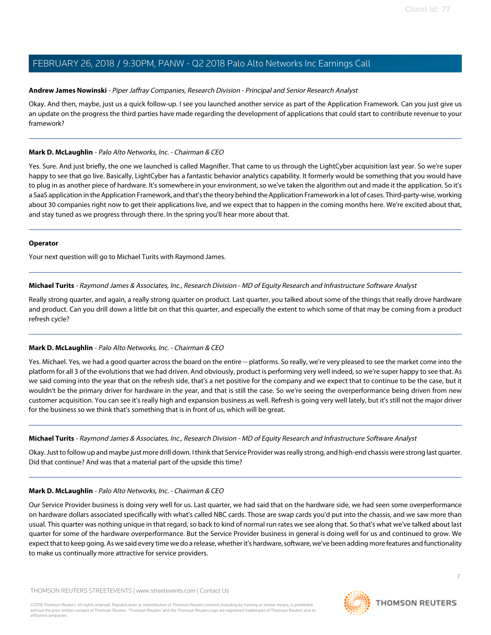### **Andrew James Nowinski** - Piper Jaffray Companies, Research Division - Principal and Senior Research Analyst

Okay. And then, maybe, just us a quick follow-up. I see you launched another service as part of the Application Framework. Can you just give us an update on the progress the third parties have made regarding the development of applications that could start to contribute revenue to your framework?

### **Mark D. McLaughlin** - Palo Alto Networks, Inc. - Chairman & CEO

Yes. Sure. And just briefly, the one we launched is called Magnifier. That came to us through the LightCyber acquisition last year. So we're super happy to see that go live. Basically, LightCyber has a fantastic behavior analytics capability. It formerly would be something that you would have to plug in as another piece of hardware. It's somewhere in your environment, so we've taken the algorithm out and made it the application. So it's a SaaS application in the Application Framework, and that's the theory behind the Application Framework in a lot of cases. Third-party-wise, working about 30 companies right now to get their applications live, and we expect that to happen in the coming months here. We're excited about that, and stay tuned as we progress through there. In the spring you'll hear more about that.

### **Operator**

<span id="page-6-0"></span>Your next question will go to Michael Turits with Raymond James.

### **Michael Turits** - Raymond James & Associates, Inc., Research Division - MD of Equity Research and Infrastructure Software Analyst

Really strong quarter, and again, a really strong quarter on product. Last quarter, you talked about some of the things that really drove hardware and product. Can you drill down a little bit on that this quarter, and especially the extent to which some of that may be coming from a product refresh cycle?

### **Mark D. McLaughlin** - Palo Alto Networks, Inc. - Chairman & CEO

Yes. Michael. Yes, we had a good quarter across the board on the entire -- platforms. So really, we're very pleased to see the market come into the platform for all 3 of the evolutions that we had driven. And obviously, product is performing very well indeed, so we're super happy to see that. As we said coming into the year that on the refresh side, that's a net positive for the company and we expect that to continue to be the case, but it wouldn't be the primary driver for hardware in the year, and that is still the case. So we're seeing the overperformance being driven from new customer acquisition. You can see it's really high and expansion business as well. Refresh is going very well lately, but it's still not the major driver for the business so we think that's something that is in front of us, which will be great.

### **Michael Turits** - Raymond James & Associates, Inc., Research Division - MD of Equity Research and Infrastructure Software Analyst

Okay. Just to follow up and maybe just more drill down. I think that Service Provider was really strong, and high-end chassis were strong last quarter. Did that continue? And was that a material part of the upside this time?

### **Mark D. McLaughlin** - Palo Alto Networks, Inc. - Chairman & CEO

Our Service Provider business is doing very well for us. Last quarter, we had said that on the hardware side, we had seen some overperformance on hardware dollars associated specifically with what's called NBC cards. Those are swap cards you'd put into the chassis, and we saw more than usual. This quarter was nothing unique in that regard, so back to kind of normal run rates we see along that. So that's what we've talked about last quarter for some of the hardware overperformance. But the Service Provider business in general is doing well for us and continued to grow. We expect that to keep going. As we said every time we do a release, whether it's hardware, software, we've been adding more features and functionality to make us continually more attractive for service providers.

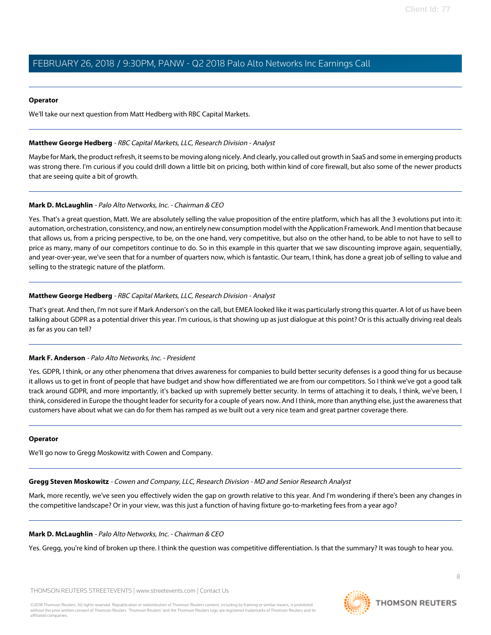#### **Operator**

We'll take our next question from Matt Hedberg with RBC Capital Markets.

### <span id="page-7-2"></span>**Matthew George Hedberg** - RBC Capital Markets, LLC, Research Division - Analyst

Maybe for Mark, the product refresh, it seems to be moving along nicely. And clearly, you called out growth in SaaS and some in emerging products was strong there. I'm curious if you could drill down a little bit on pricing, both within kind of core firewall, but also some of the newer products that are seeing quite a bit of growth.

### **Mark D. McLaughlin** - Palo Alto Networks, Inc. - Chairman & CEO

Yes. That's a great question, Matt. We are absolutely selling the value proposition of the entire platform, which has all the 3 evolutions put into it: automation, orchestration, consistency, and now, an entirely new consumption model with the Application Framework. And I mention that because that allows us, from a pricing perspective, to be, on the one hand, very competitive, but also on the other hand, to be able to not have to sell to price as many, many of our competitors continue to do. So in this example in this quarter that we saw discounting improve again, sequentially, and year-over-year, we've seen that for a number of quarters now, which is fantastic. Our team, I think, has done a great job of selling to value and selling to the strategic nature of the platform.

### **Matthew George Hedberg** - RBC Capital Markets, LLC, Research Division - Analyst

<span id="page-7-0"></span>That's great. And then, I'm not sure if Mark Anderson's on the call, but EMEA looked like it was particularly strong this quarter. A lot of us have been talking about GDPR as a potential driver this year. I'm curious, is that showing up as just dialogue at this point? Or is this actually driving real deals as far as you can tell?

### **Mark F. Anderson** - Palo Alto Networks, Inc. - President

Yes. GDPR, I think, or any other phenomena that drives awareness for companies to build better security defenses is a good thing for us because it allows us to get in front of people that have budget and show how differentiated we are from our competitors. So I think we've got a good talk track around GDPR, and more importantly, it's backed up with supremely better security. In terms of attaching it to deals, I think, we've been, I think, considered in Europe the thought leader for security for a couple of years now. And I think, more than anything else, just the awareness that customers have about what we can do for them has ramped as we built out a very nice team and great partner coverage there.

### <span id="page-7-1"></span>**Operator**

We'll go now to Gregg Moskowitz with Cowen and Company.

**Gregg Steven Moskowitz** - Cowen and Company, LLC, Research Division - MD and Senior Research Analyst

Mark, more recently, we've seen you effectively widen the gap on growth relative to this year. And I'm wondering if there's been any changes in the competitive landscape? Or in your view, was this just a function of having fixture go-to-marketing fees from a year ago?

### **Mark D. McLaughlin** - Palo Alto Networks, Inc. - Chairman & CEO

Yes. Gregg, you're kind of broken up there. I think the question was competitive differentiation. Is that the summary? It was tough to hear you.

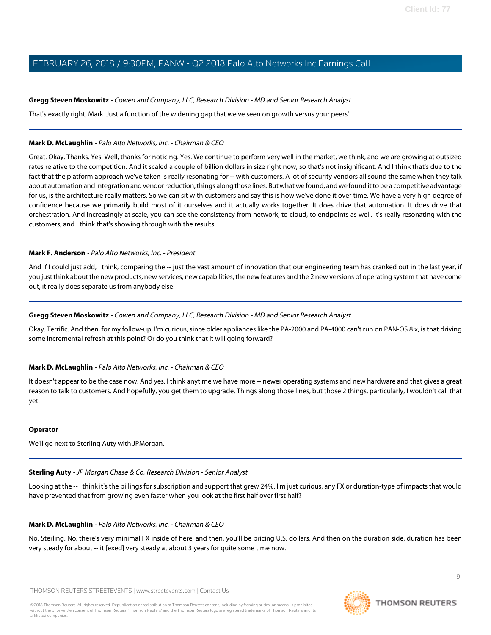### **Gregg Steven Moskowitz** - Cowen and Company, LLC, Research Division - MD and Senior Research Analyst

That's exactly right, Mark. Just a function of the widening gap that we've seen on growth versus your peers'.

### **Mark D. McLaughlin** - Palo Alto Networks, Inc. - Chairman & CEO

Great. Okay. Thanks. Yes. Well, thanks for noticing. Yes. We continue to perform very well in the market, we think, and we are growing at outsized rates relative to the competition. And it scaled a couple of billion dollars in size right now, so that's not insignificant. And I think that's due to the fact that the platform approach we've taken is really resonating for -- with customers. A lot of security vendors all sound the same when they talk about automation and integration and vendor reduction, things along those lines. But what we found, and we found it to be a competitive advantage for us, is the architecture really matters. So we can sit with customers and say this is how we've done it over time. We have a very high degree of confidence because we primarily build most of it ourselves and it actually works together. It does drive that automation. It does drive that orchestration. And increasingly at scale, you can see the consistency from network, to cloud, to endpoints as well. It's really resonating with the customers, and I think that's showing through with the results.

### **Mark F. Anderson** - Palo Alto Networks, Inc. - President

And if I could just add, I think, comparing the -- just the vast amount of innovation that our engineering team has cranked out in the last year, if you just think about the new products, new services, new capabilities, the new features and the 2 new versions of operating system that have come out, it really does separate us from anybody else.

### **Gregg Steven Moskowitz** - Cowen and Company, LLC, Research Division - MD and Senior Research Analyst

Okay. Terrific. And then, for my follow-up, I'm curious, since older appliances like the PA-2000 and PA-4000 can't run on PAN-OS 8.x, is that driving some incremental refresh at this point? Or do you think that it will going forward?

### **Mark D. McLaughlin** - Palo Alto Networks, Inc. - Chairman & CEO

It doesn't appear to be the case now. And yes, I think anytime we have more -- newer operating systems and new hardware and that gives a great reason to talk to customers. And hopefully, you get them to upgrade. Things along those lines, but those 2 things, particularly, I wouldn't call that yet.

### <span id="page-8-0"></span>**Operator**

We'll go next to Sterling Auty with JPMorgan.

### **Sterling Auty** - JP Morgan Chase & Co, Research Division - Senior Analyst

Looking at the -- I think it's the billings for subscription and support that grew 24%. I'm just curious, any FX or duration-type of impacts that would have prevented that from growing even faster when you look at the first half over first half?

### **Mark D. McLaughlin** - Palo Alto Networks, Inc. - Chairman & CEO

No, Sterling. No, there's very minimal FX inside of here, and then, you'll be pricing U.S. dollars. And then on the duration side, duration has been very steady for about -- it [exed] very steady at about 3 years for quite some time now.

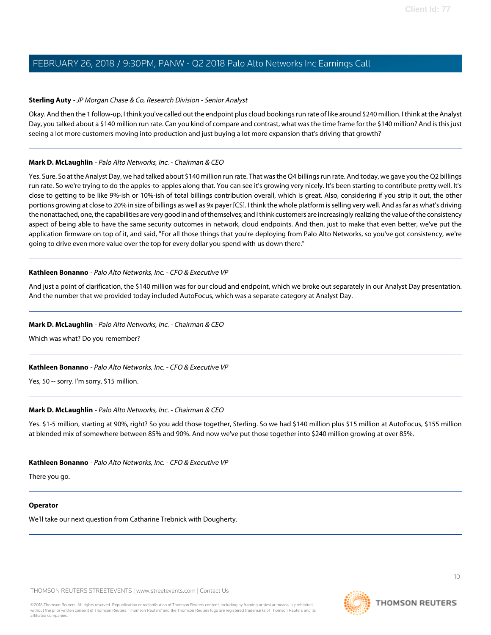### **Sterling Auty** - JP Morgan Chase & Co, Research Division - Senior Analyst

Okay. And then the 1 follow-up, I think you've called out the endpoint plus cloud bookings run rate of like around \$240 million. I think at the Analyst Day, you talked about a \$140 million run rate. Can you kind of compare and contrast, what was the time frame for the \$140 million? And is this just seeing a lot more customers moving into production and just buying a lot more expansion that's driving that growth?

### **Mark D. McLaughlin** - Palo Alto Networks, Inc. - Chairman & CEO

Yes. Sure. So at the Analyst Day, we had talked about \$140 million run rate. That was the Q4 billings run rate. And today, we gave you the Q2 billings run rate. So we're trying to do the apples-to-apples along that. You can see it's growing very nicely. It's been starting to contribute pretty well. It's close to getting to be like 9%-ish or 10%-ish of total billings contribution overall, which is great. Also, considering if you strip it out, the other portions growing at close to 20% in size of billings as well as 9x payer [CS]. I think the whole platform is selling very well. And as far as what's driving the nonattached, one, the capabilities are very good in and of themselves; and I think customers are increasingly realizing the value of the consistency aspect of being able to have the same security outcomes in network, cloud endpoints. And then, just to make that even better, we've put the application firmware on top of it, and said, "For all those things that you're deploying from Palo Alto Networks, so you've got consistency, we're going to drive even more value over the top for every dollar you spend with us down there."

### **Kathleen Bonanno** - Palo Alto Networks, Inc. - CFO & Executive VP

And just a point of clarification, the \$140 million was for our cloud and endpoint, which we broke out separately in our Analyst Day presentation. And the number that we provided today included AutoFocus, which was a separate category at Analyst Day.

### **Mark D. McLaughlin** - Palo Alto Networks, Inc. - Chairman & CEO

Which was what? Do you remember?

### **Kathleen Bonanno** - Palo Alto Networks, Inc. - CFO & Executive VP

Yes, 50 -- sorry. I'm sorry, \$15 million.

### **Mark D. McLaughlin** - Palo Alto Networks, Inc. - Chairman & CEO

Yes. \$1-5 million, starting at 90%, right? So you add those together, Sterling. So we had \$140 million plus \$15 million at AutoFocus, \$155 million at blended mix of somewhere between 85% and 90%. And now we've put those together into \$240 million growing at over 85%.

### **Kathleen Bonanno** - Palo Alto Networks, Inc. - CFO & Executive VP

There you go.

### **Operator**

We'll take our next question from Catharine Trebnick with Dougherty.

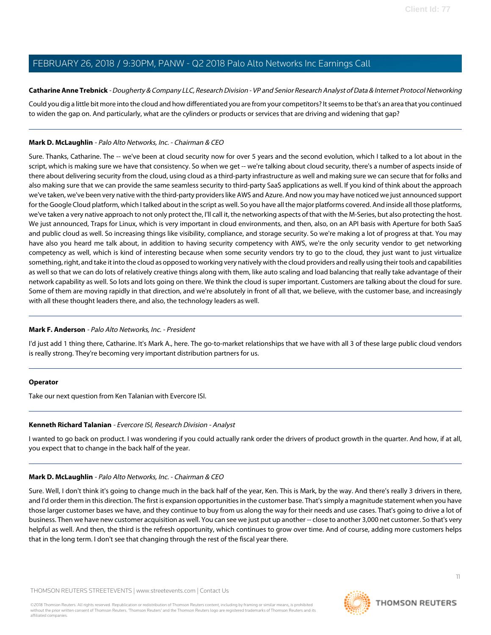### <span id="page-10-0"></span>**Catharine Anne Trebnick** - Dougherty & Company LLC, Research Division - VP and Senior Research Analyst of Data & Internet Protocol Networking

Could you dig a little bit more into the cloud and how differentiated you are from your competitors? It seems to be that's an area that you continued to widen the gap on. And particularly, what are the cylinders or products or services that are driving and widening that gap?

### **Mark D. McLaughlin** - Palo Alto Networks, Inc. - Chairman & CEO

Sure. Thanks, Catharine. The -- we've been at cloud security now for over 5 years and the second evolution, which I talked to a lot about in the script, which is making sure we have that consistency. So when we get -- we're talking about cloud security, there's a number of aspects inside of there about delivering security from the cloud, using cloud as a third-party infrastructure as well and making sure we can secure that for folks and also making sure that we can provide the same seamless security to third-party SaaS applications as well. If you kind of think about the approach we've taken, we've been very native with the third-party providers like AWS and Azure. And now you may have noticed we just announced support for the Google Cloud platform, which I talked about in the script as well. So you have all the major platforms covered. And inside all those platforms, we've taken a very native approach to not only protect the, I'll call it, the networking aspects of that with the M-Series, but also protecting the host. We just announced, Traps for Linux, which is very important in cloud environments, and then, also, on an API basis with Aperture for both SaaS and public cloud as well. So increasing things like visibility, compliance, and storage security. So we're making a lot of progress at that. You may have also you heard me talk about, in addition to having security competency with AWS, we're the only security vendor to get networking competency as well, which is kind of interesting because when some security vendors try to go to the cloud, they just want to just virtualize something, right, and take it into the cloud as opposed to working very natively with the cloud providers and really using their tools and capabilities as well so that we can do lots of relatively creative things along with them, like auto scaling and load balancing that really take advantage of their network capability as well. So lots and lots going on there. We think the cloud is super important. Customers are talking about the cloud for sure. Some of them are moving rapidly in that direction, and we're absolutely in front of all that, we believe, with the customer base, and increasingly with all these thought leaders there, and also, the technology leaders as well.

### **Mark F. Anderson** - Palo Alto Networks, Inc. - President

I'd just add 1 thing there, Catharine. It's Mark A., here. The go-to-market relationships that we have with all 3 of these large public cloud vendors is really strong. They're becoming very important distribution partners for us.

### <span id="page-10-1"></span>**Operator**

Take our next question from Ken Talanian with Evercore ISI.

### **Kenneth Richard Talanian** - Evercore ISI, Research Division - Analyst

I wanted to go back on product. I was wondering if you could actually rank order the drivers of product growth in the quarter. And how, if at all, you expect that to change in the back half of the year.

### **Mark D. McLaughlin** - Palo Alto Networks, Inc. - Chairman & CEO

Sure. Well, I don't think it's going to change much in the back half of the year, Ken. This is Mark, by the way. And there's really 3 drivers in there, and I'd order them in this direction. The first is expansion opportunities in the customer base. That's simply a magnitude statement when you have those larger customer bases we have, and they continue to buy from us along the way for their needs and use cases. That's going to drive a lot of business. Then we have new customer acquisition as well. You can see we just put up another -- close to another 3,000 net customer. So that's very helpful as well. And then, the third is the refresh opportunity, which continues to grow over time. And of course, adding more customers helps that in the long term. I don't see that changing through the rest of the fiscal year there.

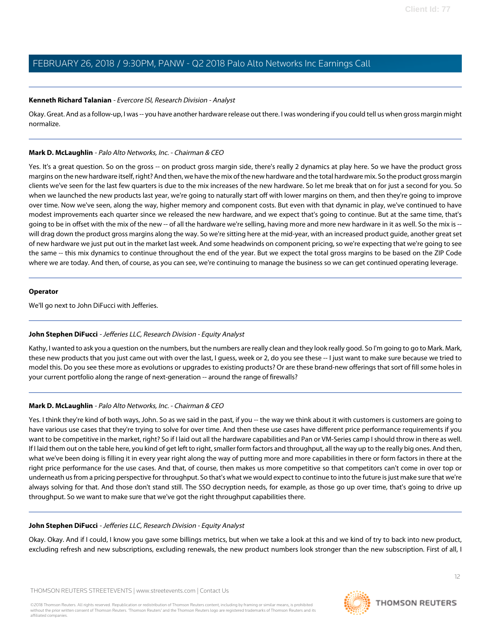### **Kenneth Richard Talanian** - Evercore ISI, Research Division - Analyst

Okay. Great. And as a follow-up, I was -- you have another hardware release out there. I was wondering if you could tell us when gross margin might normalize.

### **Mark D. McLaughlin** - Palo Alto Networks, Inc. - Chairman & CEO

Yes. It's a great question. So on the gross -- on product gross margin side, there's really 2 dynamics at play here. So we have the product gross margins on the new hardware itself, right? And then, we have the mix of the new hardware and the total hardware mix. So the product gross margin clients we've seen for the last few quarters is due to the mix increases of the new hardware. So let me break that on for just a second for you. So when we launched the new products last year, we're going to naturally start off with lower margins on them, and then they're going to improve over time. Now we've seen, along the way, higher memory and component costs. But even with that dynamic in play, we've continued to have modest improvements each quarter since we released the new hardware, and we expect that's going to continue. But at the same time, that's going to be in offset with the mix of the new -- of all the hardware we're selling, having more and more new hardware in it as well. So the mix is - will drag down the product gross margins along the way. So we're sitting here at the mid-year, with an increased product guide, another great set of new hardware we just put out in the market last week. And some headwinds on component pricing, so we're expecting that we're going to see the same -- this mix dynamics to continue throughout the end of the year. But we expect the total gross margins to be based on the ZIP Code where we are today. And then, of course, as you can see, we're continuing to manage the business so we can get continued operating leverage.

### **Operator**

<span id="page-11-0"></span>We'll go next to John DiFucci with Jefferies.

### **John Stephen DiFucci** - Jefferies LLC, Research Division - Equity Analyst

Kathy, I wanted to ask you a question on the numbers, but the numbers are really clean and they look really good. So I'm going to go to Mark. Mark, these new products that you just came out with over the last, I guess, week or 2, do you see these -- I just want to make sure because we tried to model this. Do you see these more as evolutions or upgrades to existing products? Or are these brand-new offerings that sort of fill some holes in your current portfolio along the range of next-generation -- around the range of firewalls?

### **Mark D. McLaughlin** - Palo Alto Networks, Inc. - Chairman & CEO

Yes. I think they're kind of both ways, John. So as we said in the past, if you -- the way we think about it with customers is customers are going to have various use cases that they're trying to solve for over time. And then these use cases have different price performance requirements if you want to be competitive in the market, right? So if I laid out all the hardware capabilities and Pan or VM-Series camp I should throw in there as well. If I laid them out on the table here, you kind of get left to right, smaller form factors and throughput, all the way up to the really big ones. And then, what we've been doing is filling it in every year right along the way of putting more and more capabilities in there or form factors in there at the right price performance for the use cases. And that, of course, then makes us more competitive so that competitors can't come in over top or underneath us from a pricing perspective for throughput. So that's what we would expect to continue to into the future is just make sure that we're always solving for that. And those don't stand still. The SSO decryption needs, for example, as those go up over time, that's going to drive up throughput. So we want to make sure that we've got the right throughput capabilities there.

### **John Stephen DiFucci** - Jefferies LLC, Research Division - Equity Analyst

Okay. Okay. And if I could, I know you gave some billings metrics, but when we take a look at this and we kind of try to back into new product, excluding refresh and new subscriptions, excluding renewals, the new product numbers look stronger than the new subscription. First of all, I

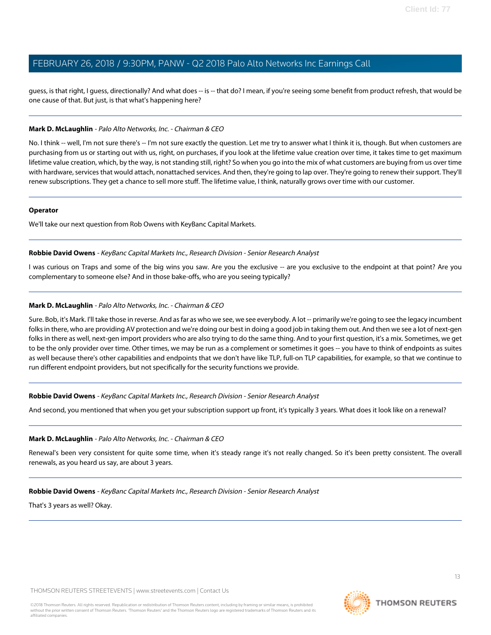guess, is that right, I guess, directionally? And what does -- is -- that do? I mean, if you're seeing some benefit from product refresh, that would be one cause of that. But just, is that what's happening here?

### **Mark D. McLaughlin** - Palo Alto Networks, Inc. - Chairman & CEO

No. I think -- well, I'm not sure there's -- I'm not sure exactly the question. Let me try to answer what I think it is, though. But when customers are purchasing from us or starting out with us, right, on purchases, if you look at the lifetime value creation over time, it takes time to get maximum lifetime value creation, which, by the way, is not standing still, right? So when you go into the mix of what customers are buying from us over time with hardware, services that would attach, nonattached services. And then, they're going to lap over. They're going to renew their support. They'll renew subscriptions. They get a chance to sell more stuff. The lifetime value, I think, naturally grows over time with our customer.

#### **Operator**

<span id="page-12-0"></span>We'll take our next question from Rob Owens with KeyBanc Capital Markets.

#### **Robbie David Owens** - KeyBanc Capital Markets Inc., Research Division - Senior Research Analyst

I was curious on Traps and some of the big wins you saw. Are you the exclusive -- are you exclusive to the endpoint at that point? Are you complementary to someone else? And in those bake-offs, who are you seeing typically?

### **Mark D. McLaughlin** - Palo Alto Networks, Inc. - Chairman & CEO

Sure. Bob, it's Mark. I'll take those in reverse. And as far as who we see, we see everybody. A lot -- primarily we're going to see the legacy incumbent folks in there, who are providing AV protection and we're doing our best in doing a good job in taking them out. And then we see a lot of next-gen folks in there as well, next-gen import providers who are also trying to do the same thing. And to your first question, it's a mix. Sometimes, we get to be the only provider over time. Other times, we may be run as a complement or sometimes it goes -- you have to think of endpoints as suites as well because there's other capabilities and endpoints that we don't have like TLP, full-on TLP capabilities, for example, so that we continue to run different endpoint providers, but not specifically for the security functions we provide.

**Robbie David Owens** - KeyBanc Capital Markets Inc., Research Division - Senior Research Analyst

And second, you mentioned that when you get your subscription support up front, it's typically 3 years. What does it look like on a renewal?

### **Mark D. McLaughlin** - Palo Alto Networks, Inc. - Chairman & CEO

Renewal's been very consistent for quite some time, when it's steady range it's not really changed. So it's been pretty consistent. The overall renewals, as you heard us say, are about 3 years.

### **Robbie David Owens** - KeyBanc Capital Markets Inc., Research Division - Senior Research Analyst

That's 3 years as well? Okay.

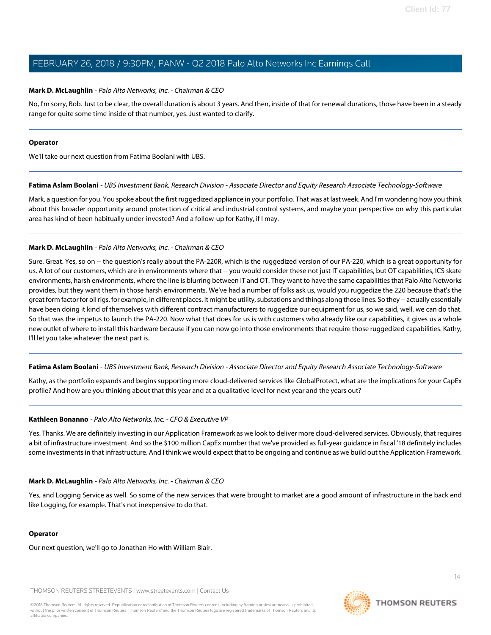### **Mark D. McLaughlin** - Palo Alto Networks, Inc. - Chairman & CEO

No, I'm sorry, Bob. Just to be clear, the overall duration is about 3 years. And then, inside of that for renewal durations, those have been in a steady range for quite some time inside of that number, yes. Just wanted to clarify.

#### **Operator**

<span id="page-13-0"></span>We'll take our next question from Fatima Boolani with UBS.

**Fatima Aslam Boolani** - UBS Investment Bank, Research Division - Associate Director and Equity Research Associate Technology-Software

Mark, a question for you. You spoke about the first ruggedized appliance in your portfolio. That was at last week. And I'm wondering how you think about this broader opportunity around protection of critical and industrial control systems, and maybe your perspective on why this particular area has kind of been habitually under-invested? And a follow-up for Kathy, if I may.

### **Mark D. McLaughlin** - Palo Alto Networks, Inc. - Chairman & CEO

Sure. Great. Yes, so on -- the question's really about the PA-220R, which is the ruggedized version of our PA-220, which is a great opportunity for us. A lot of our customers, which are in environments where that -- you would consider these not just IT capabilities, but OT capabilities, ICS skate environments, harsh environments, where the line is blurring between IT and OT. They want to have the same capabilities that Palo Alto Networks provides, but they want them in those harsh environments. We've had a number of folks ask us, would you ruggedize the 220 because that's the great form factor for oil rigs, for example, in different places. It might be utility, substations and things along those lines. So they -- actually essentially have been doing it kind of themselves with different contract manufacturers to ruggedize our equipment for us, so we said, well, we can do that. So that was the impetus to launch the PA-220. Now what that does for us is with customers who already like our capabilities, it gives us a whole new outlet of where to install this hardware because if you can now go into those environments that require those ruggedized capabilities. Kathy, I'll let you take whatever the next part is.

**Fatima Aslam Boolani** - UBS Investment Bank, Research Division - Associate Director and Equity Research Associate Technology-Software

Kathy, as the portfolio expands and begins supporting more cloud-delivered services like GlobalProtect, what are the implications for your CapEx profile? And how are you thinking about that this year and at a qualitative level for next year and the years out?

### **Kathleen Bonanno** - Palo Alto Networks, Inc. - CFO & Executive VP

Yes. Thanks. We are definitely investing in our Application Framework as we look to deliver more cloud-delivered services. Obviously, that requires a bit of infrastructure investment. And so the \$100 million CapEx number that we've provided as full-year guidance in fiscal '18 definitely includes some investments in that infrastructure. And I think we would expect that to be ongoing and continue as we build out the Application Framework.

### **Mark D. McLaughlin** - Palo Alto Networks, Inc. - Chairman & CEO

Yes, and Logging Service as well. So some of the new services that were brought to market are a good amount of infrastructure in the back end like Logging, for example. That's not inexpensive to do that.

### **Operator**

Our next question, we'll go to Jonathan Ho with William Blair.

THOMSON REUTERS STREETEVENTS | [www.streetevents.com](http://www.streetevents.com) | [Contact Us](http://www010.streetevents.com/contact.asp)

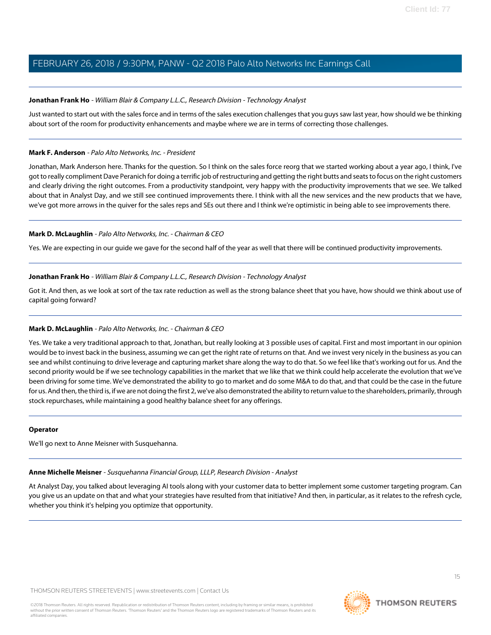### <span id="page-14-1"></span>**Jonathan Frank Ho** - William Blair & Company L.L.C., Research Division - Technology Analyst

Just wanted to start out with the sales force and in terms of the sales execution challenges that you guys saw last year, how should we be thinking about sort of the room for productivity enhancements and maybe where we are in terms of correcting those challenges.

### **Mark F. Anderson** - Palo Alto Networks, Inc. - President

Jonathan, Mark Anderson here. Thanks for the question. So I think on the sales force reorg that we started working about a year ago, I think, I've got to really compliment Dave Peranich for doing a terrific job of restructuring and getting the right butts and seats to focus on the right customers and clearly driving the right outcomes. From a productivity standpoint, very happy with the productivity improvements that we see. We talked about that in Analyst Day, and we still see continued improvements there. I think with all the new services and the new products that we have, we've got more arrows in the quiver for the sales reps and SEs out there and I think we're optimistic in being able to see improvements there.

### **Mark D. McLaughlin** - Palo Alto Networks, Inc. - Chairman & CEO

Yes. We are expecting in our guide we gave for the second half of the year as well that there will be continued productivity improvements.

### **Jonathan Frank Ho** - William Blair & Company L.L.C., Research Division - Technology Analyst

Got it. And then, as we look at sort of the tax rate reduction as well as the strong balance sheet that you have, how should we think about use of capital going forward?

### **Mark D. McLaughlin** - Palo Alto Networks, Inc. - Chairman & CEO

Yes. We take a very traditional approach to that, Jonathan, but really looking at 3 possible uses of capital. First and most important in our opinion would be to invest back in the business, assuming we can get the right rate of returns on that. And we invest very nicely in the business as you can see and whilst continuing to drive leverage and capturing market share along the way to do that. So we feel like that's working out for us. And the second priority would be if we see technology capabilities in the market that we like that we think could help accelerate the evolution that we've been driving for some time. We've demonstrated the ability to go to market and do some M&A to do that, and that could be the case in the future for us. And then, the third is, if we are not doing the first 2, we've also demonstrated the ability to return value to the shareholders, primarily, through stock repurchases, while maintaining a good healthy balance sheet for any offerings.

### <span id="page-14-0"></span>**Operator**

We'll go next to Anne Meisner with Susquehanna.

### **Anne Michelle Meisner** - Susquehanna Financial Group, LLLP, Research Division - Analyst

At Analyst Day, you talked about leveraging AI tools along with your customer data to better implement some customer targeting program. Can you give us an update on that and what your strategies have resulted from that initiative? And then, in particular, as it relates to the refresh cycle, whether you think it's helping you optimize that opportunity.



15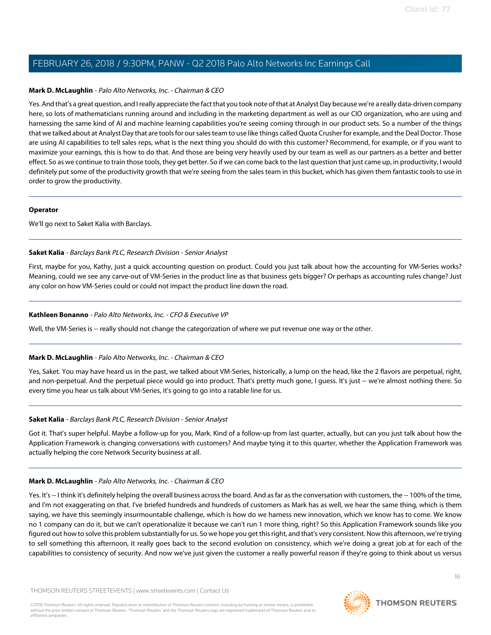### **Mark D. McLaughlin** - Palo Alto Networks, Inc. - Chairman & CEO

Yes. And that's a great question, and I really appreciate the fact that you took note of that at Analyst Day because we're a really data-driven company here, so lots of mathematicians running around and including in the marketing department as well as our CIO organization, who are using and harnessing the same kind of AI and machine learning capabilities you're seeing coming through in our product sets. So a number of the things that we talked about at Analyst Day that are tools for our sales team to use like things called Quota Crusher for example, and the Deal Doctor. Those are using AI capabilities to tell sales reps, what is the next thing you should do with this customer? Recommend, for example, or if you want to maximize your earnings, this is how to do that. And those are being very heavily used by our team as well as our partners as a better and better effect. So as we continue to train those tools, they get better. So if we can come back to the last question that just came up, in productivity, I would definitely put some of the productivity growth that we're seeing from the sales team in this bucket, which has given them fantastic tools to use in order to grow the productivity.

#### **Operator**

<span id="page-15-0"></span>We'll go next to Saket Kalia with Barclays.

### **Saket Kalia** - Barclays Bank PLC, Research Division - Senior Analyst

First, maybe for you, Kathy, just a quick accounting question on product. Could you just talk about how the accounting for VM-Series works? Meaning, could we see any carve-out of VM-Series in the product line as that business gets bigger? Or perhaps as accounting rules change? Just any color on how VM-Series could or could not impact the product line down the road.

### **Kathleen Bonanno** - Palo Alto Networks, Inc. - CFO & Executive VP

Well, the VM-Series is -- really should not change the categorization of where we put revenue one way or the other.

### **Mark D. McLaughlin** - Palo Alto Networks, Inc. - Chairman & CEO

Yes, Saket. You may have heard us in the past, we talked about VM-Series, historically, a lump on the head, like the 2 flavors are perpetual, right, and non-perpetual. And the perpetual piece would go into product. That's pretty much gone, I guess. It's just -- we're almost nothing there. So every time you hear us talk about VM-Series, it's going to go into a ratable line for us.

### **Saket Kalia** - Barclays Bank PLC, Research Division - Senior Analyst

Got it. That's super helpful. Maybe a follow-up for you, Mark. Kind of a follow-up from last quarter, actually, but can you just talk about how the Application Framework is changing conversations with customers? And maybe tying it to this quarter, whether the Application Framework was actually helping the core Network Security business at all.

### **Mark D. McLaughlin** - Palo Alto Networks, Inc. - Chairman & CEO

Yes. It's -- I think it's definitely helping the overall business across the board. And as far as the conversation with customers, the -- 100% of the time, and I'm not exaggerating on that. I've briefed hundreds and hundreds of customers as Mark has as well, we hear the same thing, which is them saying, we have this seemingly insurmountable challenge, which is how do we harness new innovation, which we know has to come. We know no 1 company can do it, but we can't operationalize it because we can't run 1 more thing, right? So this Application Framework sounds like you figured out how to solve this problem substantially for us. So we hope you get this right, and that's very consistent. Now this afternoon, we're trying to sell something this afternoon, it really goes back to the second evolution on consistency, which we're doing a great job at for each of the capabilities to consistency of security. And now we've just given the customer a really powerful reason if they're going to think about us versus

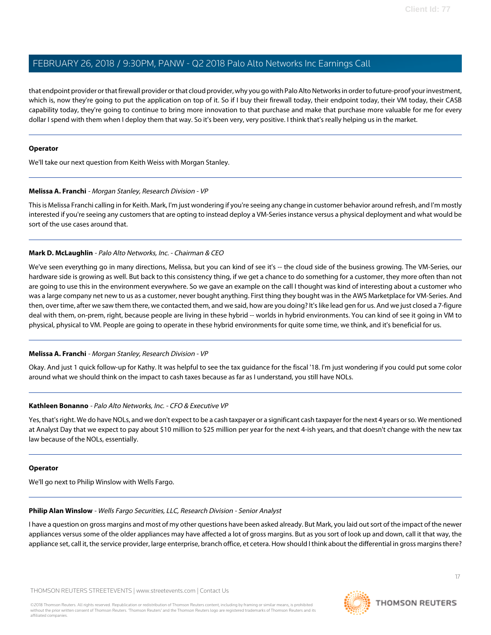that endpoint provider or that firewall provider or that cloud provider, why you go with Palo Alto Networks in order to future-proof your investment, which is, now they're going to put the application on top of it. So if I buy their firewall today, their endpoint today, their VM today, their CASB capability today, they're going to continue to bring more innovation to that purchase and make that purchase more valuable for me for every dollar I spend with them when I deploy them that way. So it's been very, very positive. I think that's really helping us in the market.

### **Operator**

<span id="page-16-0"></span>We'll take our next question from Keith Weiss with Morgan Stanley.

### **Melissa A. Franchi** - Morgan Stanley, Research Division - VP

This is Melissa Franchi calling in for Keith. Mark, I'm just wondering if you're seeing any change in customer behavior around refresh, and I'm mostly interested if you're seeing any customers that are opting to instead deploy a VM-Series instance versus a physical deployment and what would be sort of the use cases around that.

### **Mark D. McLaughlin** - Palo Alto Networks, Inc. - Chairman & CEO

We've seen everything go in many directions, Melissa, but you can kind of see it's -- the cloud side of the business growing. The VM-Series, our hardware side is growing as well. But back to this consistency thing, if we get a chance to do something for a customer, they more often than not are going to use this in the environment everywhere. So we gave an example on the call I thought was kind of interesting about a customer who was a large company net new to us as a customer, never bought anything. First thing they bought was in the AWS Marketplace for VM-Series. And then, over time, after we saw them there, we contacted them, and we said, how are you doing? It's like lead gen for us. And we just closed a 7-figure deal with them, on-prem, right, because people are living in these hybrid -- worlds in hybrid environments. You can kind of see it going in VM to physical, physical to VM. People are going to operate in these hybrid environments for quite some time, we think, and it's beneficial for us.

### **Melissa A. Franchi** - Morgan Stanley, Research Division - VP

Okay. And just 1 quick follow-up for Kathy. It was helpful to see the tax guidance for the fiscal '18. I'm just wondering if you could put some color around what we should think on the impact to cash taxes because as far as I understand, you still have NOLs.

### **Kathleen Bonanno** - Palo Alto Networks, Inc. - CFO & Executive VP

Yes, that's right. We do have NOLs, and we don't expect to be a cash taxpayer or a significant cash taxpayer for the next 4 years or so. We mentioned at Analyst Day that we expect to pay about \$10 million to \$25 million per year for the next 4-ish years, and that doesn't change with the new tax law because of the NOLs, essentially.

### <span id="page-16-1"></span>**Operator**

We'll go next to Philip Winslow with Wells Fargo.

### **Philip Alan Winslow** - Wells Fargo Securities, LLC, Research Division - Senior Analyst

I have a question on gross margins and most of my other questions have been asked already. But Mark, you laid out sort of the impact of the newer appliances versus some of the older appliances may have affected a lot of gross margins. But as you sort of look up and down, call it that way, the appliance set, call it, the service provider, large enterprise, branch office, et cetera. How should I think about the differential in gross margins there?